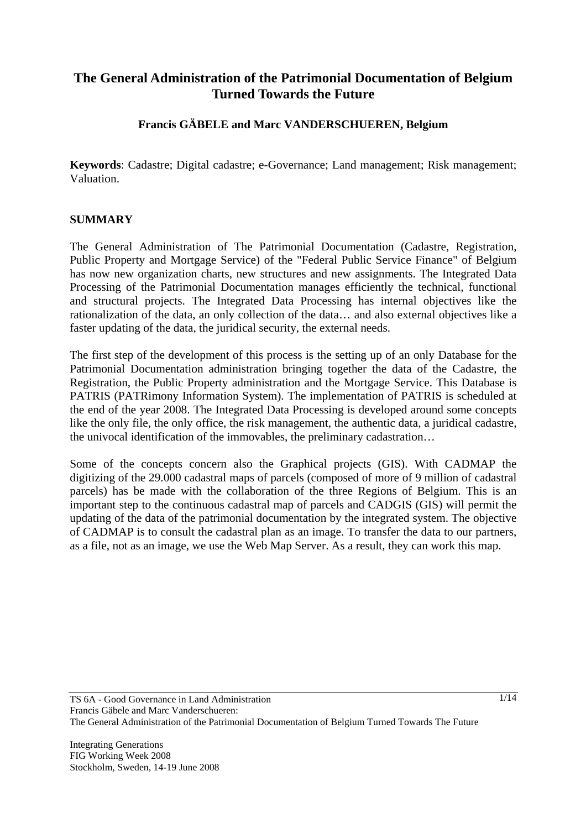# **The General Administration of the Patrimonial Documentation of Belgium Turned Towards the Future**

# **Francis GÄBELE and Marc VANDERSCHUEREN, Belgium**

**Keywords**: Cadastre; Digital cadastre; e-Governance; Land management; Risk management; Valuation.

#### **SUMMARY**

The General Administration of The Patrimonial Documentation (Cadastre, Registration, Public Property and Mortgage Service) of the "Federal Public Service Finance" of Belgium has now new organization charts, new structures and new assignments. The Integrated Data Processing of the Patrimonial Documentation manages efficiently the technical, functional and structural projects. The Integrated Data Processing has internal objectives like the rationalization of the data, an only collection of the data… and also external objectives like a faster updating of the data, the juridical security, the external needs.

The first step of the development of this process is the setting up of an only Database for the Patrimonial Documentation administration bringing together the data of the Cadastre, the Registration, the Public Property administration and the Mortgage Service. This Database is PATRIS (PATRimony Information System). The implementation of PATRIS is scheduled at the end of the year 2008. The Integrated Data Processing is developed around some concepts like the only file, the only office, the risk management, the authentic data, a juridical cadastre, the univocal identification of the immovables, the preliminary cadastration…

Some of the concepts concern also the Graphical projects (GIS). With CADMAP the digitizing of the 29.000 cadastral maps of parcels (composed of more of 9 million of cadastral parcels) has be made with the collaboration of the three Regions of Belgium. This is an important step to the continuous cadastral map of parcels and CADGIS (GIS) will permit the updating of the data of the patrimonial documentation by the integrated system. The objective of CADMAP is to consult the cadastral plan as an image. To transfer the data to our partners, as a file, not as an image, we use the Web Map Server. As a result, they can work this map.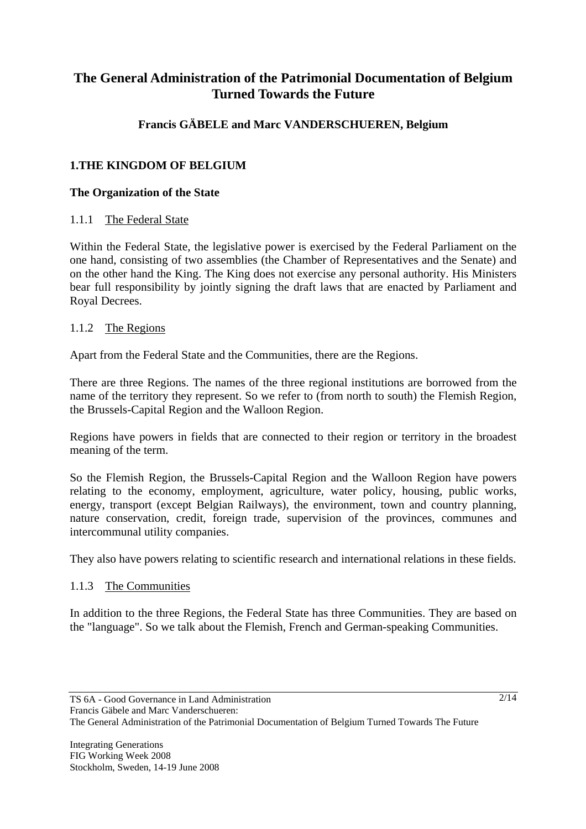# **The General Administration of the Patrimonial Documentation of Belgium Turned Towards the Future**

# **Francis GÄBELE and Marc VANDERSCHUEREN, Belgium**

# **1.THE KINGDOM OF BELGIUM**

# **The Organization of the State**

# 1.1.1 The Federal State

Within the Federal State, the legislative power is exercised by the Federal Parliament on the one hand, consisting of two assemblies (the Chamber of Representatives and the Senate) and on the other hand the King. The King does not exercise any personal authority. His Ministers bear full responsibility by jointly signing the draft laws that are enacted by Parliament and Royal Decrees.

# 1.1.2 The Regions

Apart from the Federal State and the Communities, there are the Regions.

There are three Regions. The names of the three regional institutions are borrowed from the name of the territory they represent. So we refer to (from north to south) the Flemish Region, the Brussels-Capital Region and the Walloon Region.

Regions have powers in fields that are connected to their region or territory in the broadest meaning of the term.

So the Flemish Region, the Brussels-Capital Region and the Walloon Region have powers relating to the economy, employment, agriculture, water policy, housing, public works, energy, transport (except Belgian Railways), the environment, town and country planning, nature conservation, credit, foreign trade, supervision of the provinces, communes and intercommunal utility companies.

They also have powers relating to scientific research and international relations in these fields.

# 1.1.3 The Communities

In addition to the three Regions, the Federal State has three Communities. They are based on the "language". So we talk about the Flemish, French and German-speaking Communities.

The General Administration of the Patrimonial Documentation of Belgium Turned Towards The Future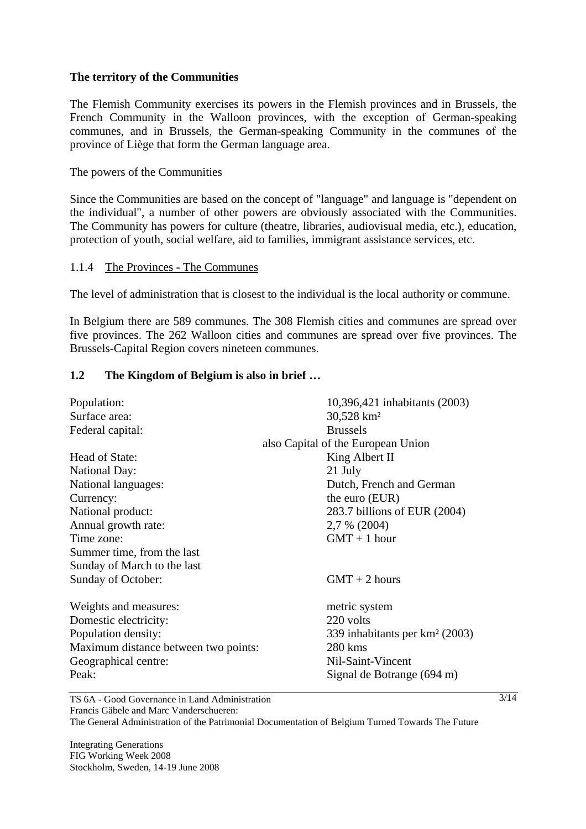#### **The territory of the Communities**

The Flemish Community exercises its powers in the Flemish provinces and in Brussels, the French Community in the Walloon provinces, with the exception of German-speaking communes, and in Brussels, the German-speaking Community in the communes of the province of Liège that form the German language area.

#### The powers of the Communities

Since the Communities are based on the concept of "language" and language is "dependent on the individual", a number of other powers are obviously associated with the Communities. The Community has powers for culture (theatre, libraries, audiovisual media, etc.), education, protection of youth, social welfare, aid to families, immigrant assistance services, etc.

#### 1.1.4 The Provinces - The Communes

The level of administration that is closest to the individual is the local authority or commune.

In Belgium there are 589 communes. The 308 Flemish cities and communes are spread over five provinces. The 262 Walloon cities and communes are spread over five provinces. The Brussels-Capital Region covers nineteen communes.

#### **1.2 The Kingdom of Belgium is also in brief …**

| Population:                          | 10,396,421 inhabitants (2003)              |
|--------------------------------------|--------------------------------------------|
| Surface area:                        | 30,528 km <sup>2</sup>                     |
| Federal capital:                     | <b>Brussels</b>                            |
|                                      | also Capital of the European Union         |
| Head of State:                       | King Albert II                             |
| <b>National Day:</b>                 | 21 July                                    |
| National languages:                  | Dutch, French and German                   |
| Currency:                            | the euro (EUR)                             |
| National product:                    | 283.7 billions of EUR (2004)               |
| Annual growth rate:                  | 2,7 % (2004)                               |
| Time zone:                           | $GMT + 1$ hour                             |
| Summer time, from the last           |                                            |
| Sunday of March to the last          |                                            |
| Sunday of October:                   | $GMT + 2 hours$                            |
| Weights and measures:                | metric system                              |
| Domestic electricity:                | 220 volts                                  |
| Population density:                  | 339 inhabitants per km <sup>2</sup> (2003) |
| Maximum distance between two points: | 280 kms                                    |
| Geographical centre:                 | Nil-Saint-Vincent                          |
| Peak:                                | Signal de Botrange (694 m)                 |

TS 6A - Good Governance in Land Administration Francis Gäbele and Marc Vanderschueren:

The General Administration of the Patrimonial Documentation of Belgium Turned Towards The Future

Integrating Generations FIG Working Week 2008 Stockholm, Sweden, 14-19 June 2008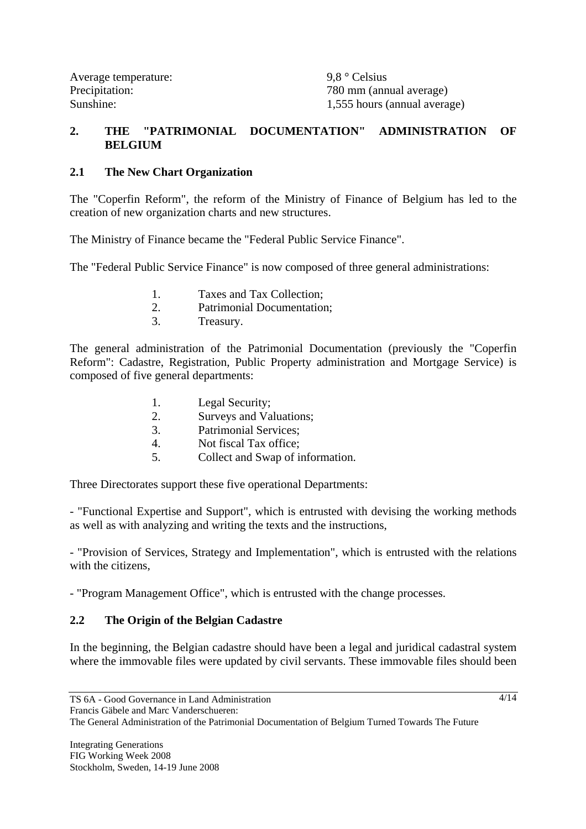Precipitation: 780 mm (annual average) Sunshine: 1,555 hours (annual average)

# **2. THE "PATRIMONIAL DOCUMENTATION" ADMINISTRATION OF BELGIUM**

# **2.1 The New Chart Organization**

The "Coperfin Reform", the reform of the Ministry of Finance of Belgium has led to the creation of new organization charts and new structures.

The Ministry of Finance became the "Federal Public Service Finance".

The "Federal Public Service Finance" is now composed of three general administrations:

- 1. Taxes and Tax Collection;
- 2. Patrimonial Documentation;
- 3. Treasury.

The general administration of the Patrimonial Documentation (previously the "Coperfin Reform": Cadastre, Registration, Public Property administration and Mortgage Service) is composed of five general departments:

- 1. Legal Security;
- 2. Surveys and Valuations;
- 3. Patrimonial Services;
- 4. Not fiscal Tax office;
- 5. Collect and Swap of information.

Three Directorates support these five operational Departments:

- "Functional Expertise and Support", which is entrusted with devising the working methods as well as with analyzing and writing the texts and the instructions,

- "Provision of Services, Strategy and Implementation", which is entrusted with the relations with the citizens,

- "Program Management Office", which is entrusted with the change processes.

# **2.2 The Origin of the Belgian Cadastre**

In the beginning, the Belgian cadastre should have been a legal and juridical cadastral system where the immovable files were updated by civil servants. These immovable files should been

The General Administration of the Patrimonial Documentation of Belgium Turned Towards The Future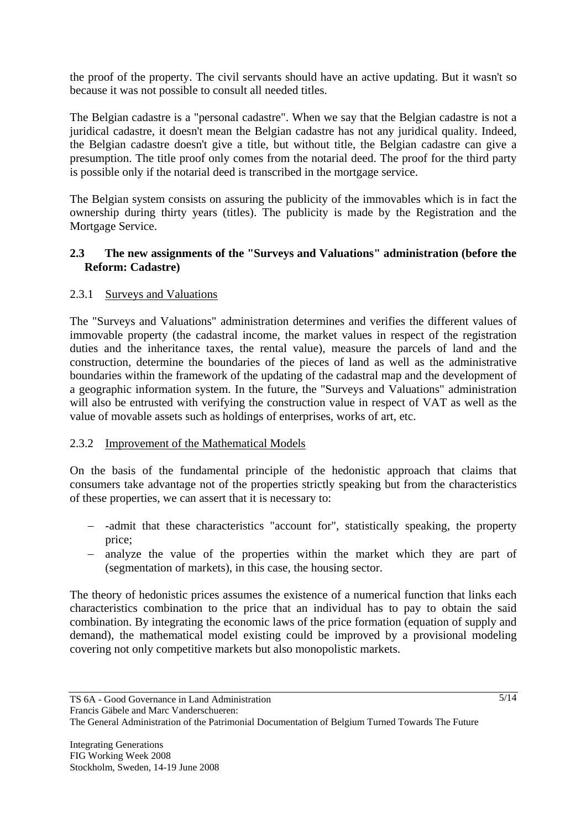the proof of the property. The civil servants should have an active updating. But it wasn't so because it was not possible to consult all needed titles.

The Belgian cadastre is a "personal cadastre". When we say that the Belgian cadastre is not a juridical cadastre, it doesn't mean the Belgian cadastre has not any juridical quality. Indeed, the Belgian cadastre doesn't give a title, but without title, the Belgian cadastre can give a presumption. The title proof only comes from the notarial deed. The proof for the third party is possible only if the notarial deed is transcribed in the mortgage service.

The Belgian system consists on assuring the publicity of the immovables which is in fact the ownership during thirty years (titles). The publicity is made by the Registration and the Mortgage Service.

# **2.3 The new assignments of the "Surveys and Valuations" administration (before the Reform: Cadastre)**

# 2.3.1 Surveys and Valuations

The "Surveys and Valuations" administration determines and verifies the different values of immovable property (the cadastral income, the market values in respect of the registration duties and the inheritance taxes, the rental value), measure the parcels of land and the construction, determine the boundaries of the pieces of land as well as the administrative boundaries within the framework of the updating of the cadastral map and the development of a geographic information system. In the future, the "Surveys and Valuations" administration will also be entrusted with verifying the construction value in respect of VAT as well as the value of movable assets such as holdings of enterprises, works of art, etc.

# 2.3.2 Improvement of the Mathematical Models

On the basis of the fundamental principle of the hedonistic approach that claims that consumers take advantage not of the properties strictly speaking but from the characteristics of these properties, we can assert that it is necessary to:

- − -admit that these characteristics "account for", statistically speaking, the property price;
- − analyze the value of the properties within the market which they are part of (segmentation of markets), in this case, the housing sector.

The theory of hedonistic prices assumes the existence of a numerical function that links each characteristics combination to the price that an individual has to pay to obtain the said combination. By integrating the economic laws of the price formation (equation of supply and demand), the mathematical model existing could be improved by a provisional modeling covering not only competitive markets but also monopolistic markets.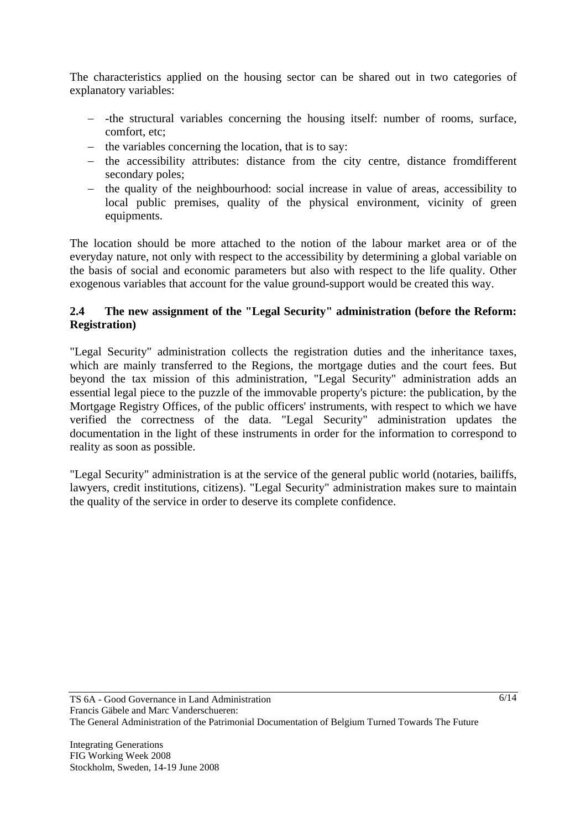The characteristics applied on the housing sector can be shared out in two categories of explanatory variables:

- − -the structural variables concerning the housing itself: number of rooms, surface, comfort, etc;
- − the variables concerning the location, that is to say:
- − the accessibility attributes: distance from the city centre, distance fromdifferent secondary poles;
- − the quality of the neighbourhood: social increase in value of areas, accessibility to local public premises, quality of the physical environment, vicinity of green equipments.

The location should be more attached to the notion of the labour market area or of the everyday nature, not only with respect to the accessibility by determining a global variable on the basis of social and economic parameters but also with respect to the life quality. Other exogenous variables that account for the value ground-support would be created this way.

# **2.4 The new assignment of the "Legal Security" administration (before the Reform: Registration)**

"Legal Security" administration collects the registration duties and the inheritance taxes, which are mainly transferred to the Regions, the mortgage duties and the court fees. But beyond the tax mission of this administration, "Legal Security" administration adds an essential legal piece to the puzzle of the immovable property's picture: the publication, by the Mortgage Registry Offices, of the public officers' instruments, with respect to which we have verified the correctness of the data. "Legal Security" administration updates the documentation in the light of these instruments in order for the information to correspond to reality as soon as possible.

"Legal Security" administration is at the service of the general public world (notaries, bailiffs, lawyers, credit institutions, citizens). "Legal Security" administration makes sure to maintain the quality of the service in order to deserve its complete confidence.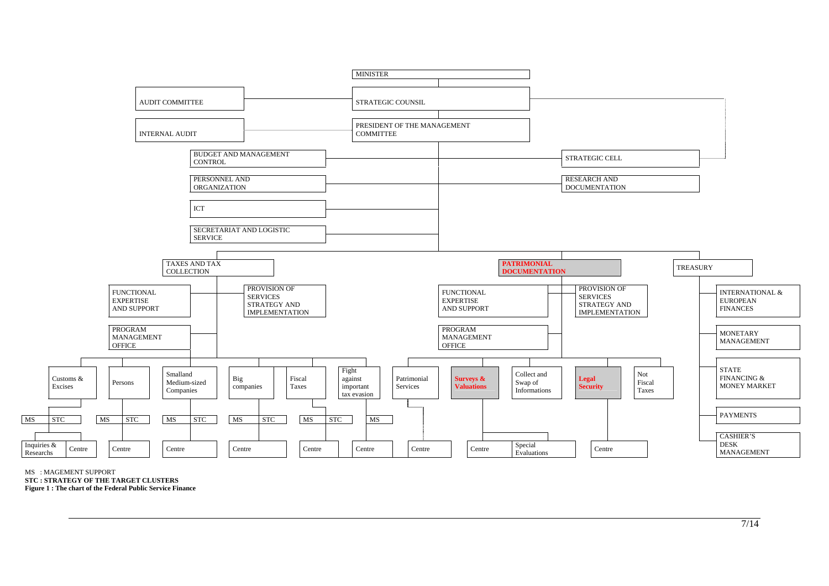

MS : MAGEMENT SUPPORT **STC : STRATEGY OF THE TARGET CLUSTERS Figure 1 : The chart of the Federal Public Service Finance**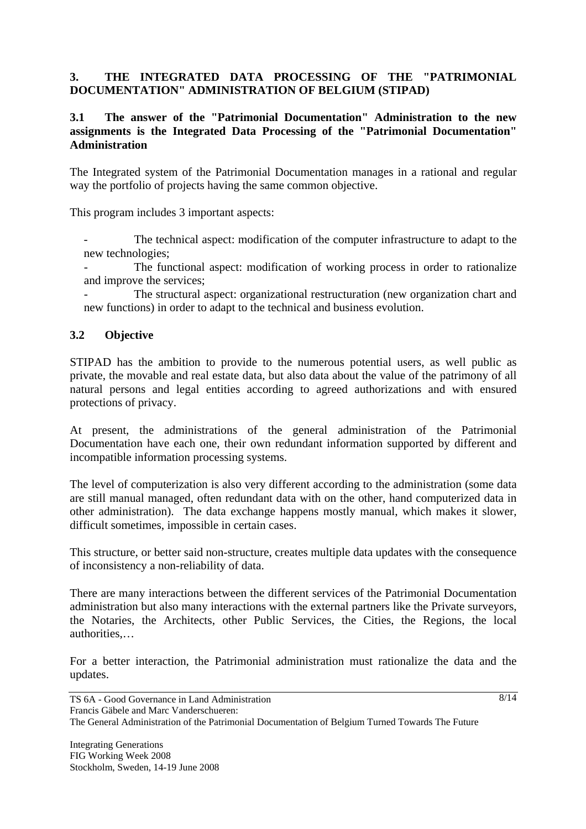# **3. THE INTEGRATED DATA PROCESSING OF THE "PATRIMONIAL DOCUMENTATION" ADMINISTRATION OF BELGIUM (STIPAD)**

### **3.1 The answer of the "Patrimonial Documentation" Administration to the new assignments is the Integrated Data Processing of the "Patrimonial Documentation" Administration**

The Integrated system of the Patrimonial Documentation manages in a rational and regular way the portfolio of projects having the same common objective.

This program includes 3 important aspects:

The technical aspect: modification of the computer infrastructure to adapt to the new technologies;

The functional aspect: modification of working process in order to rationalize and improve the services;

The structural aspect: organizational restructuration (new organization chart and new functions) in order to adapt to the technical and business evolution.

# **3.2 Objective**

STIPAD has the ambition to provide to the numerous potential users, as well public as private, the movable and real estate data, but also data about the value of the patrimony of all natural persons and legal entities according to agreed authorizations and with ensured protections of privacy.

At present, the administrations of the general administration of the Patrimonial Documentation have each one, their own redundant information supported by different and incompatible information processing systems.

The level of computerization is also very different according to the administration (some data are still manual managed, often redundant data with on the other, hand computerized data in other administration). The data exchange happens mostly manual, which makes it slower, difficult sometimes, impossible in certain cases.

This structure, or better said non-structure, creates multiple data updates with the consequence of inconsistency a non-reliability of data.

There are many interactions between the different services of the Patrimonial Documentation administration but also many interactions with the external partners like the Private surveyors, the Notaries, the Architects, other Public Services, the Cities, the Regions, the local authorities,…

For a better interaction, the Patrimonial administration must rationalize the data and the updates.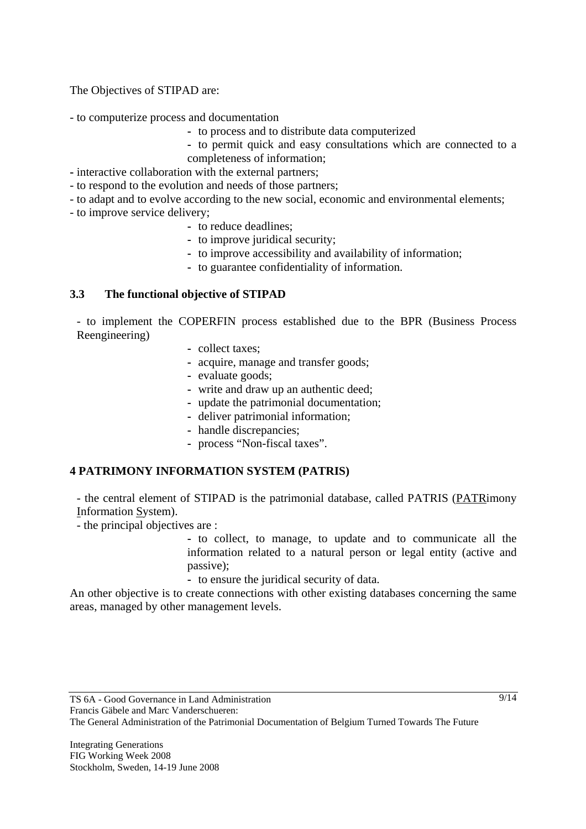The Objectives of STIPAD are:

- to computerize process and documentation

- **-** to process and to distribute data computerized
- **-** to permit quick and easy consultations which are connected to a completeness of information;
- interactive collaboration with the external partners;
- to respond to the evolution and needs of those partners;
- to adapt and to evolve according to the new social, economic and environmental elements;
- to improve service delivery;
	- **-** to reduce deadlines;
	- **-** to improve juridical security;
	- **-** to improve accessibility and availability of information;
	- **-** to guarantee confidentiality of information.

#### **3.3 The functional objective of STIPAD**

- to implement the COPERFIN process established due to the BPR (Business Process Reengineering)

- **-** collect taxes;
- **-** acquire, manage and transfer goods;
- **-** evaluate goods;
- **-** write and draw up an authentic deed;
- **-** update the patrimonial documentation;
- **-** deliver patrimonial information;
- **-** handle discrepancies;
- **-** process "Non-fiscal taxes".

# **4 PATRIMONY INFORMATION SYSTEM (PATRIS)**

- the central element of STIPAD is the patrimonial database, called PATRIS (PATRimony Information System).

- the principal objectives are :

- **-** to collect, to manage, to update and to communicate all the information related to a natural person or legal entity (active and passive);
- **-** to ensure the juridical security of data.

An other objective is to create connections with other existing databases concerning the same areas, managed by other management levels.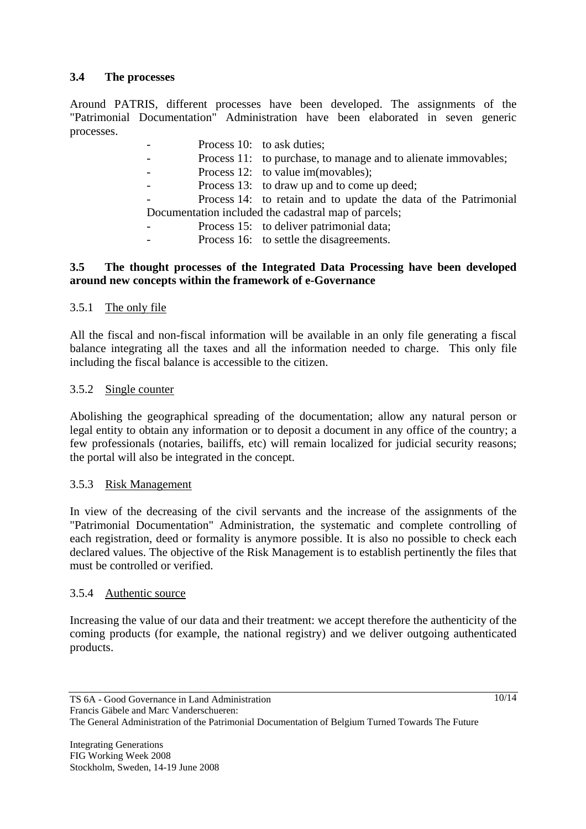# **3.4 The processes**

Around PATRIS, different processes have been developed. The assignments of the "Patrimonial Documentation" Administration have been elaborated in seven generic processes.

|                                                      |  | Process 10: to ask duties;                                      |
|------------------------------------------------------|--|-----------------------------------------------------------------|
|                                                      |  | Process 11: to purchase, to manage and to alienate immovables;  |
|                                                      |  | Process 12: to value im(movables);                              |
|                                                      |  | Process 13: to draw up and to come up deed;                     |
|                                                      |  | Process 14: to retain and to update the data of the Patrimonial |
| Documentation included the cadastral map of parcels; |  |                                                                 |
|                                                      |  | Process 15: to deliver patrimonial data;                        |

Process 16: to settle the disagreements.

### **3.5 The thought processes of the Integrated Data Processing have been developed around new concepts within the framework of e-Governance**

# 3.5.1 The only file

All the fiscal and non-fiscal information will be available in an only file generating a fiscal balance integrating all the taxes and all the information needed to charge. This only file including the fiscal balance is accessible to the citizen.

# 3.5.2 Single counter

Abolishing the geographical spreading of the documentation; allow any natural person or legal entity to obtain any information or to deposit a document in any office of the country; a few professionals (notaries, bailiffs, etc) will remain localized for judicial security reasons; the portal will also be integrated in the concept.

# 3.5.3 Risk Management

In view of the decreasing of the civil servants and the increase of the assignments of the "Patrimonial Documentation" Administration, the systematic and complete controlling of each registration, deed or formality is anymore possible. It is also no possible to check each declared values. The objective of the Risk Management is to establish pertinently the files that must be controlled or verified.

# 3.5.4 Authentic source

Increasing the value of our data and their treatment: we accept therefore the authenticity of the coming products (for example, the national registry) and we deliver outgoing authenticated products.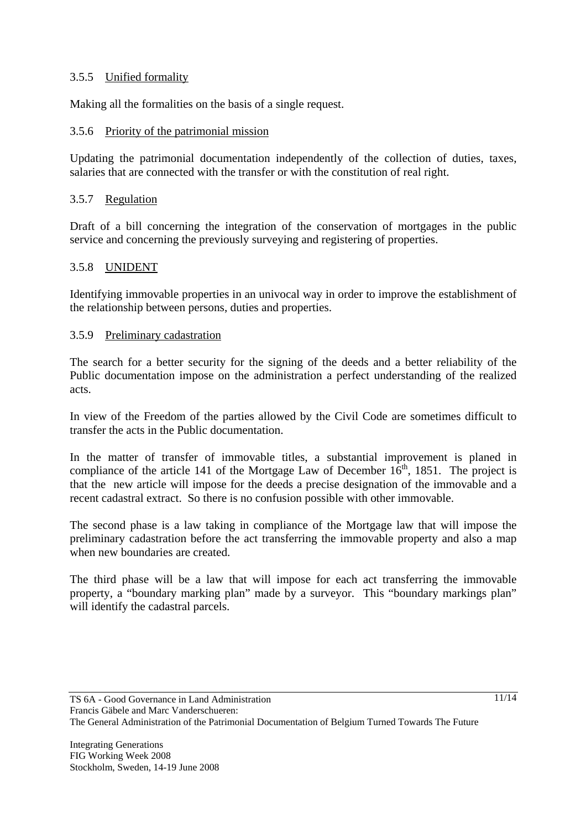# 3.5.5 Unified formality

Making all the formalities on the basis of a single request.

# 3.5.6 Priority of the patrimonial mission

Updating the patrimonial documentation independently of the collection of duties, taxes, salaries that are connected with the transfer or with the constitution of real right.

# 3.5.7 Regulation

Draft of a bill concerning the integration of the conservation of mortgages in the public service and concerning the previously surveying and registering of properties.

# 3.5.8 UNIDENT

Identifying immovable properties in an univocal way in order to improve the establishment of the relationship between persons, duties and properties.

# 3.5.9 Preliminary cadastration

The search for a better security for the signing of the deeds and a better reliability of the Public documentation impose on the administration a perfect understanding of the realized acts.

In view of the Freedom of the parties allowed by the Civil Code are sometimes difficult to transfer the acts in the Public documentation.

In the matter of transfer of immovable titles, a substantial improvement is planed in compliance of the article 141 of the Mortgage Law of December  $16<sup>th</sup>$ , 1851. The project is that the new article will impose for the deeds a precise designation of the immovable and a recent cadastral extract. So there is no confusion possible with other immovable.

The second phase is a law taking in compliance of the Mortgage law that will impose the preliminary cadastration before the act transferring the immovable property and also a map when new boundaries are created.

The third phase will be a law that will impose for each act transferring the immovable property, a "boundary marking plan" made by a surveyor. This "boundary markings plan" will identify the cadastral parcels.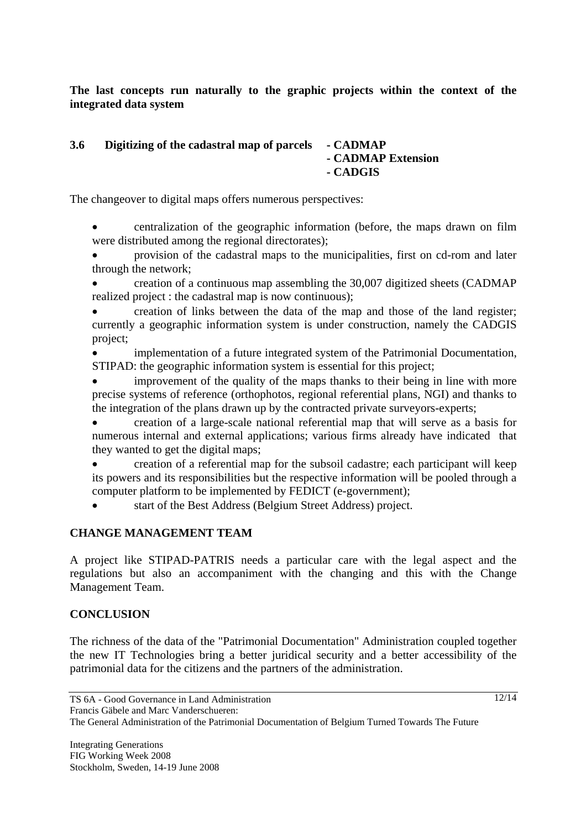**The last concepts run naturally to the graphic projects within the context of the integrated data system** 

#### **3.6 Digitizing of the cadastral map of parcels - CADMAP - CADMAP Extension - CADGIS**

The changeover to digital maps offers numerous perspectives:

• centralization of the geographic information (before, the maps drawn on film were distributed among the regional directorates);

• provision of the cadastral maps to the municipalities, first on cd-rom and later through the network;

• creation of a continuous map assembling the 30,007 digitized sheets (CADMAP realized project : the cadastral map is now continuous);

• creation of links between the data of the map and those of the land register; currently a geographic information system is under construction, namely the CADGIS project;

• implementation of a future integrated system of the Patrimonial Documentation, STIPAD: the geographic information system is essential for this project;

improvement of the quality of the maps thanks to their being in line with more precise systems of reference (orthophotos, regional referential plans, NGI) and thanks to the integration of the plans drawn up by the contracted private surveyors-experts;

• creation of a large-scale national referential map that will serve as a basis for numerous internal and external applications; various firms already have indicated that they wanted to get the digital maps;

• creation of a referential map for the subsoil cadastre; each participant will keep its powers and its responsibilities but the respective information will be pooled through a computer platform to be implemented by FEDICT (e-government);

• start of the Best Address (Belgium Street Address) project.

# **CHANGE MANAGEMENT TEAM**

A project like STIPAD-PATRIS needs a particular care with the legal aspect and the regulations but also an accompaniment with the changing and this with the Change Management Team.

# **CONCLUSION**

The richness of the data of the "Patrimonial Documentation" Administration coupled together the new IT Technologies bring a better juridical security and a better accessibility of the patrimonial data for the citizens and the partners of the administration.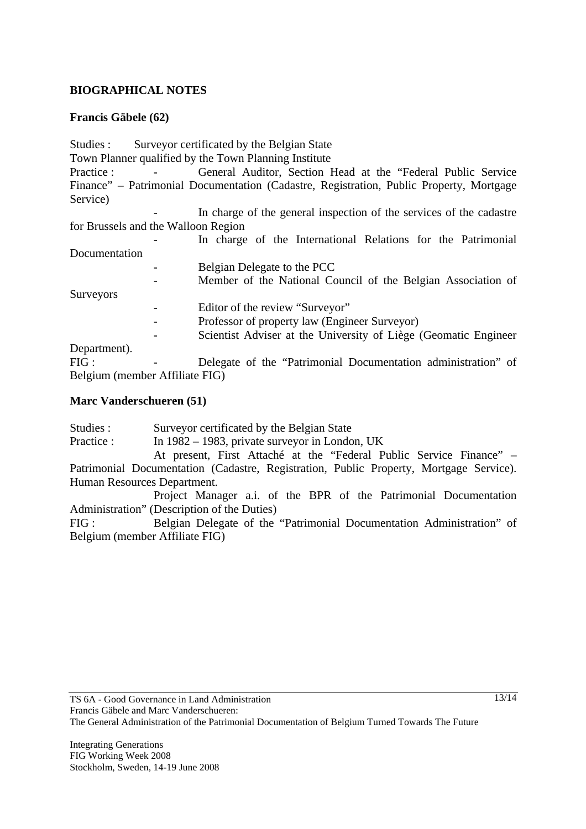# **BIOGRAPHICAL NOTES**

# **Francis Gäbele (62)**

| Studies :                           |   | Surveyor certificated by the Belgian State                                              |
|-------------------------------------|---|-----------------------------------------------------------------------------------------|
|                                     |   | Town Planner qualified by the Town Planning Institute                                   |
| Practice:                           |   | General Auditor, Section Head at the "Federal Public Service"                           |
|                                     |   | Finance" - Patrimonial Documentation (Cadastre, Registration, Public Property, Mortgage |
| Service)                            |   |                                                                                         |
|                                     |   | In charge of the general inspection of the services of the cadastre                     |
| for Brussels and the Walloon Region |   |                                                                                         |
|                                     |   | In charge of the International Relations for the Patrimonial                            |
| Documentation                       |   |                                                                                         |
|                                     | - | Belgian Delegate to the PCC                                                             |
|                                     |   | Member of the National Council of the Belgian Association of                            |
| <b>Surveyors</b>                    |   |                                                                                         |
|                                     |   | Editor of the review "Surveyor"                                                         |
|                                     |   | Professor of property law (Engineer Surveyor)                                           |
|                                     |   | Scientist Adviser at the University of Liège (Geomatic Engineer                         |
| Department).                        |   |                                                                                         |
| FIG:                                |   | Delegate of the "Patrimonial Documentation administration" of                           |
| Belgium (member Affiliate FIG)      |   |                                                                                         |

#### **Marc Vanderschueren (51)**

Studies : Surveyor certificated by the Belgian State

Practice : In 1982 – 1983, private surveyor in London, UK

 At present, First Attaché at the "Federal Public Service Finance" – Patrimonial Documentation (Cadastre, Registration, Public Property, Mortgage Service). Human Resources Department.

 Project Manager a.i. of the BPR of the Patrimonial Documentation Administration" (Description of the Duties)

FIG : Belgian Delegate of the "Patrimonial Documentation Administration" of Belgium (member Affiliate FIG)